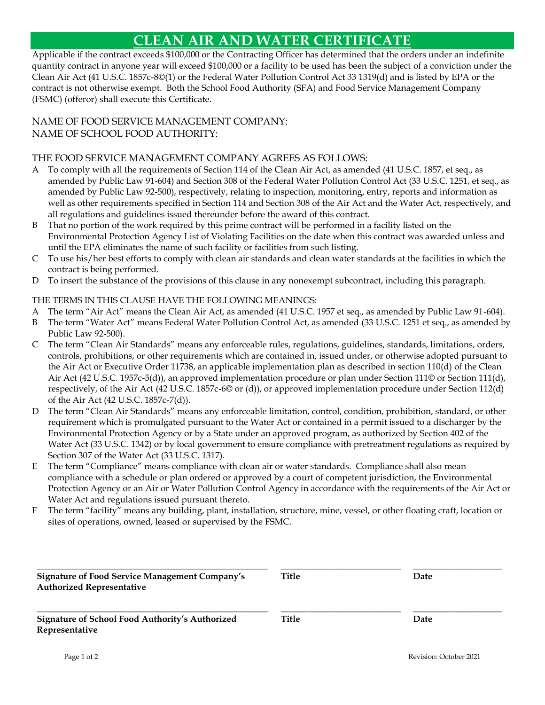# **CLEAN AIR AND WATER CERTIFICATE**

Applicable if the contract exceeds \$100,000 or the Contracting Officer has determined that the orders under an indefinite quantity contract in anyone year will exceed \$100,000 or a facility to be used has been the subject of a conviction under the Clean Air Act (41 U.S.C. 1857c-8©(1) or the Federal Water Pollution Control Act 33 1319(d) and is listed by EPA or the contract is not otherwise exempt. Both the School Food Authority (SFA) and Food Service Management Company (FSMC) (offeror) shall execute this Certificate.

## NAME OF FOOD SERVICE MANAGEMENT COMPANY: NAME OF SCHOOL FOOD AUTHORITY:

## THE FOOD SERVICE MANAGEMENT COMPANY AGREES AS FOLLOWS:

- A To comply with all the requirements of Section 114 of the Clean Air Act, as amended (41 U.S.C. 1857, et seq., as amended by Public Law 91-604) and Section 308 of the Federal Water Pollution Control Act (33 U.S.C. 1251, et seq., as amended by Public Law 92-500), respectively, relating to inspection, monitoring, entry, reports and information as well as other requirements specified in Section 114 and Section 308 of the Air Act and the Water Act, respectively, and all regulations and guidelines issued thereunder before the award of this contract.
- B That no portion of the work required by this prime contract will be performed in a facility listed on the Environmental Protection Agency List of Violating Facilities on the date when this contract was awarded unless and until the EPA eliminates the name of such facility or facilities from such listing.
- C To use his/her best efforts to comply with clean air standards and clean water standards at the facilities in which the contract is being performed.
- D To insert the substance of the provisions of this clause in any nonexempt subcontract, including this paragraph.

#### THE TERMS IN THIS CLAUSE HAVE THE FOLLOWING MEANINGS:

- A The term "Air Act" means the Clean Air Act, as amended (41 U.S.C. 1957 et seq., as amended by Public Law 91-604).
- B The term "Water Act" means Federal Water Pollution Control Act, as amended (33 U.S.C. 1251 et seq., as amended by Public Law 92-500).
- C The term "Clean Air Standards" means any enforceable rules, regulations, guidelines, standards, limitations, orders, controls, prohibitions, or other requirements which are contained in, issued under, or otherwise adopted pursuant to the Air Act or Executive Order 11738, an applicable implementation plan as described in section 110(d) of the Clean Air Act (42 U.S.C. 1957c-5(d)), an approved implementation procedure or plan under Section 111© or Section 111(d), respectively, of the Air Act (42 U.S.C. 1857c-6© or (d)), or approved implementation procedure under Section 112(d) of the Air Act (42 U.S.C. 1857c-7(d)).
- D The term "Clean Air Standards" means any enforceable limitation, control, condition, prohibition, standard, or other requirement which is promulgated pursuant to the Water Act or contained in a permit issued to a discharger by the Environmental Protection Agency or by a State under an approved program, as authorized by Section 402 of the Water Act (33 U.S.C. 1342) or by local government to ensure compliance with pretreatment regulations as required by Section 307 of the Water Act (33 U.S.C. 1317).
- E The term "Compliance" means compliance with clean air or water standards. Compliance shall also mean compliance with a schedule or plan ordered or approved by a court of competent jurisdiction, the Environmental Protection Agency or an Air or Water Pollution Control Agency in accordance with the requirements of the Air Act or Water Act and regulations issued pursuant thereto.
- F The term "facility" means any building, plant, installation, structure, mine, vessel, or other floating craft, location or sites of operations, owned, leased or supervised by the FSMC.

| <b>Signature of Food Service Management Company's</b><br><b>Authorized Representative</b> | Title | Date |
|-------------------------------------------------------------------------------------------|-------|------|
| Signature of School Food Authority's Authorized<br>Representative                         | Title | Date |